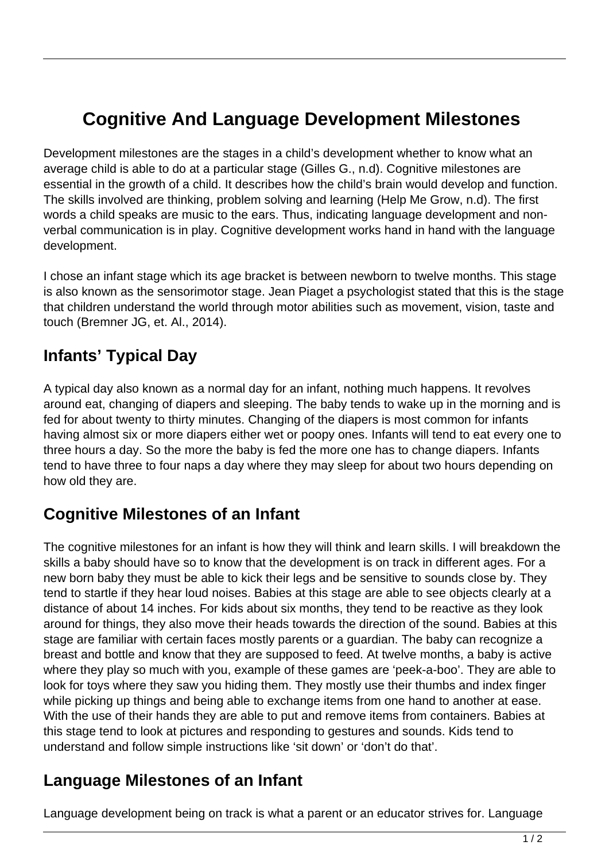# **Cognitive And Language Development Milestones**

Development milestones are the stages in a child's development whether to know what an average child is able to do at a particular stage (Gilles G., n.d). Cognitive milestones are essential in the growth of a child. It describes how the child's brain would develop and function. The skills involved are thinking, problem solving and learning (Help Me Grow, n.d). The first words a child speaks are music to the ears. Thus, indicating language development and nonverbal communication is in play. Cognitive development works hand in hand with the language development.

I chose an infant stage which its age bracket is between newborn to twelve months. This stage is also known as the sensorimotor stage. Jean Piaget a psychologist stated that this is the stage that children understand the world through motor abilities such as movement, vision, taste and touch (Bremner JG, et. Al., 2014).

# **Infants' Typical Day**

A typical day also known as a normal day for an infant, nothing much happens. It revolves around eat, changing of diapers and sleeping. The baby tends to wake up in the morning and is fed for about twenty to thirty minutes. Changing of the diapers is most common for infants having almost six or more diapers either wet or poopy ones. Infants will tend to eat every one to three hours a day. So the more the baby is fed the more one has to change diapers. Infants tend to have three to four naps a day where they may sleep for about two hours depending on how old they are.

### **Cognitive Milestones of an Infant**

The cognitive milestones for an infant is how they will think and learn skills. I will breakdown the skills a baby should have so to know that the development is on track in different ages. For a new born baby they must be able to kick their legs and be sensitive to sounds close by. They tend to startle if they hear loud noises. Babies at this stage are able to see objects clearly at a distance of about 14 inches. For kids about six months, they tend to be reactive as they look around for things, they also move their heads towards the direction of the sound. Babies at this stage are familiar with certain faces mostly parents or a guardian. The baby can recognize a breast and bottle and know that they are supposed to feed. At twelve months, a baby is active where they play so much with you, example of these games are 'peek-a-boo'. They are able to look for toys where they saw you hiding them. They mostly use their thumbs and index finger while picking up things and being able to exchange items from one hand to another at ease. With the use of their hands they are able to put and remove items from containers. Babies at this stage tend to look at pictures and responding to gestures and sounds. Kids tend to understand and follow simple instructions like 'sit down' or 'don't do that'.

#### **Language Milestones of an Infant**

Language development being on track is what a parent or an educator strives for. Language